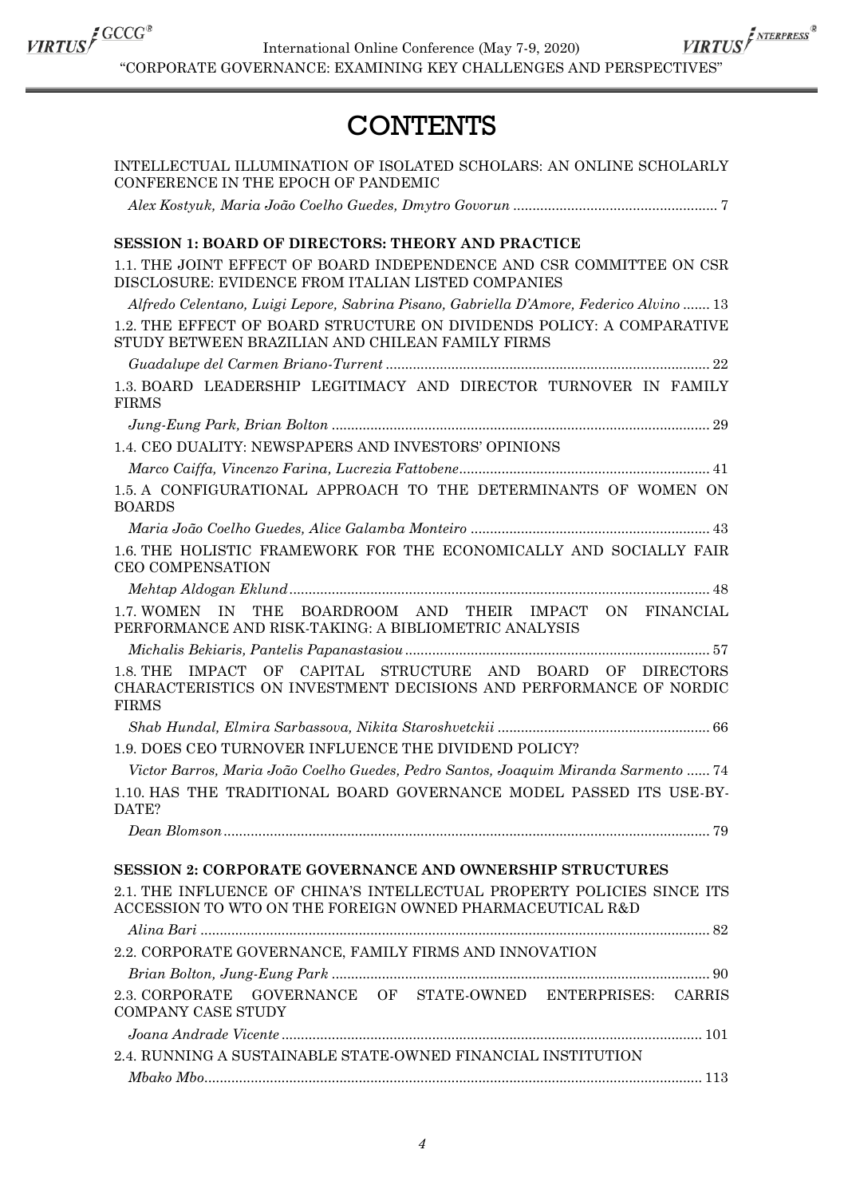

International Online Conference (May 7-9, 2020)  $\frac{\textit{VIRTUS}}{\textit{VIRTUS}}\int\frac{\textit{GCCC}^*}{\textit{MIERPRES}^*}\textit{Intermational Online Conference (May 7-9, 2020)}\times \frac{\textit{VIRTUS}}{\textit{MIERPECS}^*}\textit{HIERPES}^*$ 

## **CONTENTS**

| INTELLECTUAL ILLUMINATION OF ISOLATED SCHOLARS: AN ONLINE SCHOLARLY<br>CONFERENCE IN THE EPOCH OF PANDEMIC                                       |
|--------------------------------------------------------------------------------------------------------------------------------------------------|
|                                                                                                                                                  |
| <b>SESSION 1: BOARD OF DIRECTORS: THEORY AND PRACTICE</b>                                                                                        |
| 1.1. THE JOINT EFFECT OF BOARD INDEPENDENCE AND CSR COMMITTEE ON CSR<br>DISCLOSURE: EVIDENCE FROM ITALIAN LISTED COMPANIES                       |
| Alfredo Celentano, Luigi Lepore, Sabrina Pisano, Gabriella D'Amore, Federico Alvino  13                                                          |
| 1.2. THE EFFECT OF BOARD STRUCTURE ON DIVIDENDS POLICY: A COMPARATIVE<br>STUDY BETWEEN BRAZILIAN AND CHILEAN FAMILY FIRMS                        |
|                                                                                                                                                  |
| 1.3. BOARD LEADERSHIP LEGITIMACY AND DIRECTOR TURNOVER IN FAMILY<br><b>FIRMS</b>                                                                 |
|                                                                                                                                                  |
| 1.4. CEO DUALITY: NEWSPAPERS AND INVESTORS' OPINIONS                                                                                             |
|                                                                                                                                                  |
| 1.5. A CONFIGURATIONAL APPROACH TO THE DETERMINANTS OF WOMEN ON<br><b>BOARDS</b>                                                                 |
|                                                                                                                                                  |
| 1.6. THE HOLISTIC FRAMEWORK FOR THE ECONOMICALLY AND SOCIALLY FAIR<br><b>CEO COMPENSATION</b>                                                    |
|                                                                                                                                                  |
| IN<br>THE<br>BOARDROOM AND THEIR IMPACT ON FINANCIAL<br>1.7. WOMEN<br>PERFORMANCE AND RISK-TAKING: A BIBLIOMETRIC ANALYSIS                       |
|                                                                                                                                                  |
| 1.8. THE IMPACT OF CAPITAL STRUCTURE AND BOARD OF DIRECTORS<br>CHARACTERISTICS ON INVESTMENT DECISIONS AND PERFORMANCE OF NORDIC<br><b>FIRMS</b> |
|                                                                                                                                                  |
| 1.9. DOES CEO TURNOVER INFLUENCE THE DIVIDEND POLICY?                                                                                            |
| Victor Barros, Maria João Coelho Guedes, Pedro Santos, Joaquim Miranda Sarmento  74                                                              |
| 1.10. HAS THE TRADITIONAL BOARD GOVERNANCE MODEL PASSED ITS USE-BY-<br>DATE?                                                                     |
|                                                                                                                                                  |
|                                                                                                                                                  |
| <b>SESSION 2: CORPORATE GOVERNANCE AND OWNERSHIP STRUCTURES</b>                                                                                  |
| 2.1. THE INFLUENCE OF CHINA'S INTELLECTUAL PROPERTY POLICIES SINCE ITS<br>ACCESSION TO WTO ON THE FOREIGN OWNED PHARMACEUTICAL R&D               |
|                                                                                                                                                  |
| 2.2. CORPORATE GOVERNANCE, FAMILY FIRMS AND INNOVATION                                                                                           |
|                                                                                                                                                  |
| 2.3. CORPORATE GOVERNANCE OF STATE-OWNED ENTERPRISES: CARRIS<br><b>COMPANY CASE STUDY</b>                                                        |
|                                                                                                                                                  |
| 2.4. RUNNING A SUSTAINABLE STATE-OWNED FINANCIAL INSTITUTION                                                                                     |
|                                                                                                                                                  |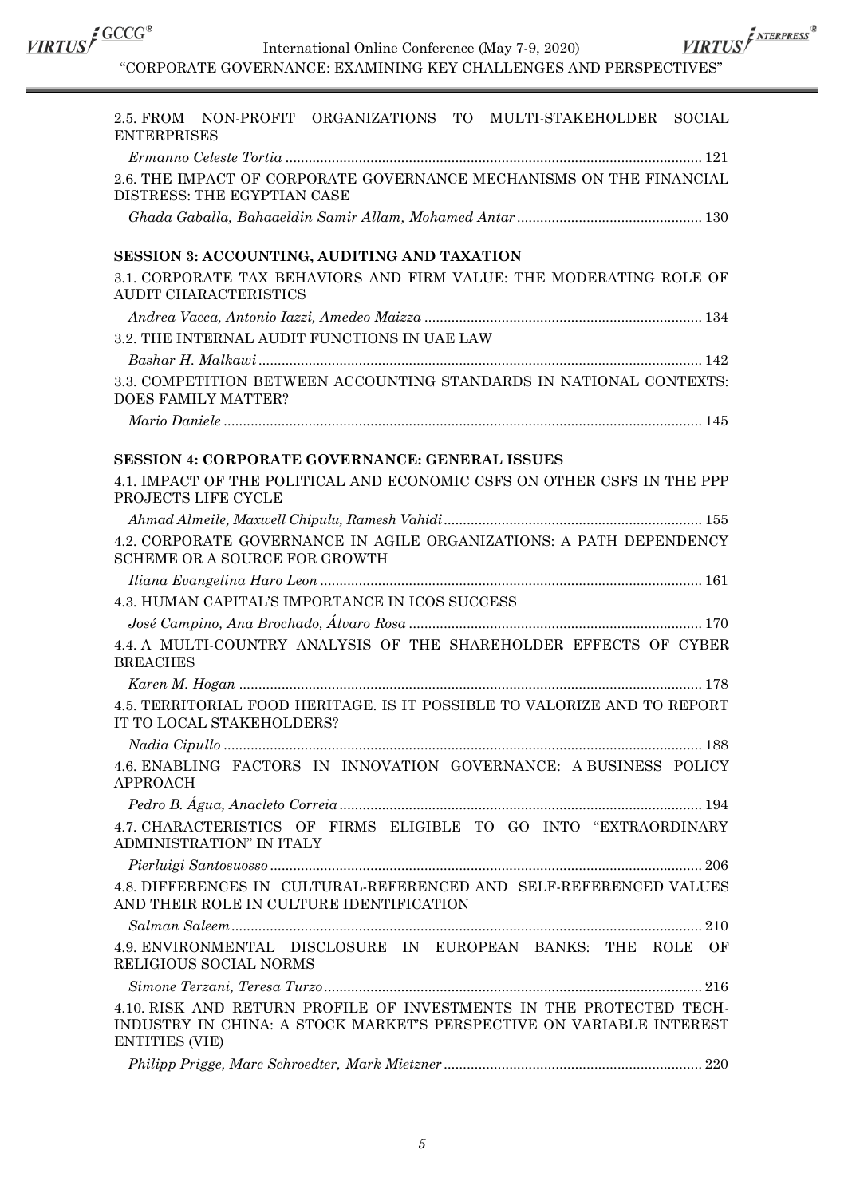International Online Conference (May 7-9, 2020)

 $\frac{\textit{VIRTUS}}{\textit{VIRTUS}}\textit{f}^{\textit{GUCG$}} \qquad \qquad \textit{International Online Conference (May 7-9, 2020)} \\ \textit{``CORPORTE GOVERNAMEE: EXAMPLENGES AND PERSPECTIVES''}$ 

| 2.5. FROM<br>NON-PROFIT ORGANIZATIONS TO MULTI-STAKEHOLDER SOCIAL<br><b>ENTERPRISES</b>                                                                              |
|----------------------------------------------------------------------------------------------------------------------------------------------------------------------|
|                                                                                                                                                                      |
| 2.6. THE IMPACT OF CORPORATE GOVERNANCE MECHANISMS ON THE FINANCIAL<br>DISTRESS: THE EGYPTIAN CASE                                                                   |
|                                                                                                                                                                      |
| SESSION 3: ACCOUNTING, AUDITING AND TAXATION                                                                                                                         |
| 3.1. CORPORATE TAX BEHAVIORS AND FIRM VALUE: THE MODERATING ROLE OF<br>AUDIT CHARACTERISTICS                                                                         |
|                                                                                                                                                                      |
| 3.2. THE INTERNAL AUDIT FUNCTIONS IN UAE LAW                                                                                                                         |
|                                                                                                                                                                      |
| 3.3. COMPETITION BETWEEN ACCOUNTING STANDARDS IN NATIONAL CONTEXTS:<br>DOES FAMILY MATTER?                                                                           |
|                                                                                                                                                                      |
|                                                                                                                                                                      |
| <b>SESSION 4: CORPORATE GOVERNANCE: GENERAL ISSUES</b>                                                                                                               |
| 4.1. IMPACT OF THE POLITICAL AND ECONOMIC CSFS ON OTHER CSFS IN THE PPP<br>PROJECTS LIFE CYCLE                                                                       |
|                                                                                                                                                                      |
| 4.2. CORPORATE GOVERNANCE IN AGILE ORGANIZATIONS: A PATH DEPENDENCY<br>SCHEME OR A SOURCE FOR GROWTH                                                                 |
|                                                                                                                                                                      |
| 4.3. HUMAN CAPITAL'S IMPORTANCE IN ICOS SUCCESS                                                                                                                      |
|                                                                                                                                                                      |
| 4.4. A MULTI-COUNTRY ANALYSIS OF THE SHAREHOLDER EFFECTS OF CYBER<br><b>BREACHES</b>                                                                                 |
|                                                                                                                                                                      |
| 4.5. TERRITORIAL FOOD HERITAGE. IS IT POSSIBLE TO VALORIZE AND TO REPORT<br>IT TO LOCAL STAKEHOLDERS?                                                                |
|                                                                                                                                                                      |
| 4.6. ENABLING FACTORS IN INNOVATION GOVERNANCE: A BUSINESS POLICY<br><b>APPROACH</b>                                                                                 |
|                                                                                                                                                                      |
| 4.7. CHARACTERISTICS OF FIRMS ELIGIBLE TO GO INTO "EXTRAORDINARY<br>ADMINISTRATION" IN ITALY                                                                         |
|                                                                                                                                                                      |
| 4.8. DIFFERENCES IN CULTURAL-REFERENCED AND SELF-REFERENCED VALUES<br>AND THEIR ROLE IN CULTURE IDENTIFICATION                                                       |
|                                                                                                                                                                      |
| 4.9. ENVIRONMENTAL DISCLOSURE IN EUROPEAN BANKS: THE ROLE OF<br>RELIGIOUS SOCIAL NORMS                                                                               |
|                                                                                                                                                                      |
| 4.10. RISK AND RETURN PROFILE OF INVESTMENTS IN THE PROTECTED TECH-<br>INDUSTRY IN CHINA: A STOCK MARKET'S PERSPECTIVE ON VARIABLE INTEREST<br><b>ENTITIES (VIE)</b> |
|                                                                                                                                                                      |